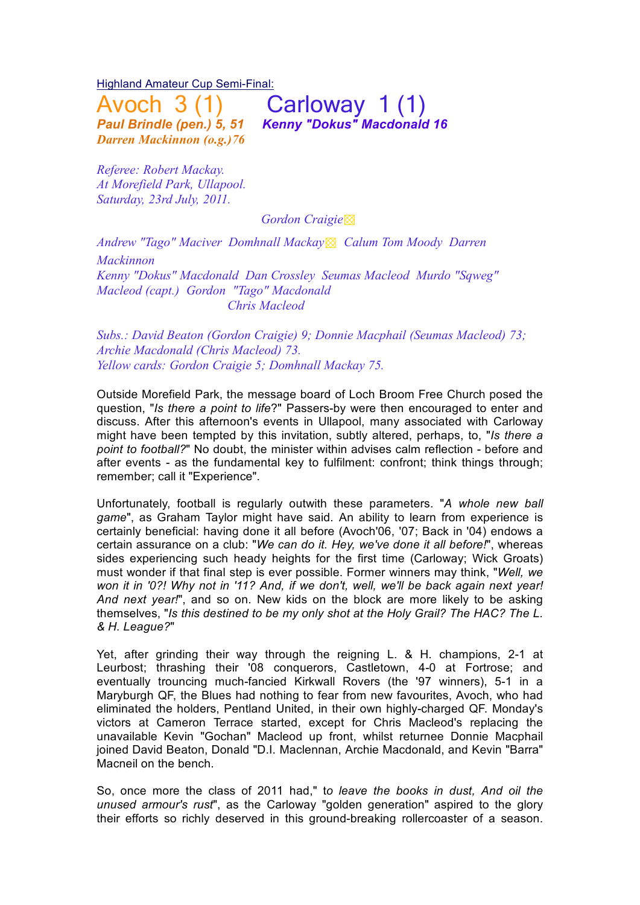Highland Amateur Cup Semi-Final:

*Darren Mackinnon (o.g.)76*

 $A$ voch  $3(1)$  Carloway 1 $(1)$ <br>
Paul Brindle (pen.) 5. 51 Kenny "Dokus" Macdonalo *Paul Brindle (pen.) 5, 51 Kenny "Dokus" Macdonald 16*

*Referee: Robert Mackay. At Morefield Park, Ullapool. Saturday, 23rd July, 2011.* 

 *Gordon Craigie*▩

*Andrew "Tago" Maciver Domhnall Mackay*▩ *Calum Tom Moody Darren Mackinnon Kenny "Dokus" Macdonald Dan Crossley Seumas Macleod Murdo "Sqweg" Macleod (capt.) Gordon "Tago" Macdonald Chris Macleod*

*Subs.: David Beaton (Gordon Craigie) 9; Donnie Macphail (Seumas Macleod) 73; Archie Macdonald (Chris Macleod) 73. Yellow cards: Gordon Craigie 5; Domhnall Mackay 75.*

Outside Morefield Park, the message board of Loch Broom Free Church posed the question, "*Is there a point to life*?" Passers-by were then encouraged to enter and discuss. After this afternoon's events in Ullapool, many associated with Carloway might have been tempted by this invitation, subtly altered, perhaps, to, "*Is there a point to football?*" No doubt, the minister within advises calm reflection - before and after events - as the fundamental key to fulfilment: confront; think things through; remember; call it "Experience".

Unfortunately, football is regularly outwith these parameters. "*A whole new ball game*", as Graham Taylor might have said. An ability to learn from experience is certainly beneficial: having done it all before (Avoch'06, '07; Back in '04) endows a certain assurance on a club: "*We can do it. Hey, we've done it all before!*", whereas sides experiencing such heady heights for the first time (Carloway; Wick Groats) must wonder if that final step is ever possible. Former winners may think, "*Well, we won it in '0?! Why not in '11? And, if we don't, well, we'll be back again next year! And next year!*", and so on. New kids on the block are more likely to be asking themselves, "*Is this destined to be my only shot at the Holy Grail? The HAC? The L. & H. League?*"

Yet, after grinding their way through the reigning L. & H. champions, 2-1 at Leurbost; thrashing their '08 conquerors, Castletown, 4-0 at Fortrose; and eventually trouncing much-fancied Kirkwall Rovers (the '97 winners), 5-1 in a Maryburgh QF, the Blues had nothing to fear from new favourites, Avoch, who had eliminated the holders, Pentland United, in their own highly-charged QF. Monday's victors at Cameron Terrace started, except for Chris Macleod's replacing the unavailable Kevin "Gochan" Macleod up front, whilst returnee Donnie Macphail joined David Beaton, Donald "D.I. Maclennan, Archie Macdonald, and Kevin "Barra" Macneil on the bench.

So, once more the class of 2011 had," t*o leave the books in dust, And oil the unused armour's rust*", as the Carloway "golden generation" aspired to the glory their efforts so richly deserved in this ground-breaking rollercoaster of a season.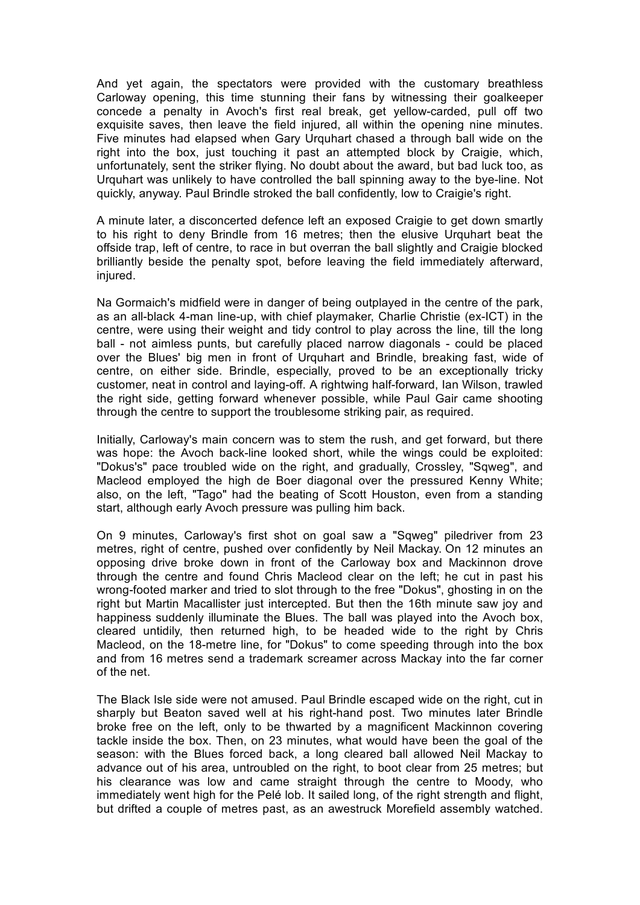And yet again, the spectators were provided with the customary breathless Carloway opening, this time stunning their fans by witnessing their goalkeeper concede a penalty in Avoch's first real break, get yellow-carded, pull off two exquisite saves, then leave the field injured, all within the opening nine minutes. Five minutes had elapsed when Gary Urquhart chased a through ball wide on the right into the box, just touching it past an attempted block by Craigie, which, unfortunately, sent the striker flying. No doubt about the award, but bad luck too, as Urquhart was unlikely to have controlled the ball spinning away to the bye-line. Not quickly, anyway. Paul Brindle stroked the ball confidently, low to Craigie's right.

A minute later, a disconcerted defence left an exposed Craigie to get down smartly to his right to deny Brindle from 16 metres; then the elusive Urquhart beat the offside trap, left of centre, to race in but overran the ball slightly and Craigie blocked brilliantly beside the penalty spot, before leaving the field immediately afterward, injured.

Na Gormaich's midfield were in danger of being outplayed in the centre of the park, as an all-black 4-man line-up, with chief playmaker, Charlie Christie (ex-ICT) in the centre, were using their weight and tidy control to play across the line, till the long ball - not aimless punts, but carefully placed narrow diagonals - could be placed over the Blues' big men in front of Urquhart and Brindle, breaking fast, wide of centre, on either side. Brindle, especially, proved to be an exceptionally tricky customer, neat in control and laying-off. A rightwing half-forward, Ian Wilson, trawled the right side, getting forward whenever possible, while Paul Gair came shooting through the centre to support the troublesome striking pair, as required.

Initially, Carloway's main concern was to stem the rush, and get forward, but there was hope: the Avoch back-line looked short, while the wings could be exploited: "Dokus's" pace troubled wide on the right, and gradually, Crossley, "Sqweg", and Macleod employed the high de Boer diagonal over the pressured Kenny White; also, on the left, "Tago" had the beating of Scott Houston, even from a standing start, although early Avoch pressure was pulling him back.

On 9 minutes, Carloway's first shot on goal saw a "Sqweg" piledriver from 23 metres, right of centre, pushed over confidently by Neil Mackay. On 12 minutes an opposing drive broke down in front of the Carloway box and Mackinnon drove through the centre and found Chris Macleod clear on the left; he cut in past his wrong-footed marker and tried to slot through to the free "Dokus", ghosting in on the right but Martin Macallister just intercepted. But then the 16th minute saw joy and happiness suddenly illuminate the Blues. The ball was played into the Avoch box, cleared untidily, then returned high, to be headed wide to the right by Chris Macleod, on the 18-metre line, for "Dokus" to come speeding through into the box and from 16 metres send a trademark screamer across Mackay into the far corner of the net.

The Black Isle side were not amused. Paul Brindle escaped wide on the right, cut in sharply but Beaton saved well at his right-hand post. Two minutes later Brindle broke free on the left, only to be thwarted by a magnificent Mackinnon covering tackle inside the box. Then, on 23 minutes, what would have been the goal of the season: with the Blues forced back, a long cleared ball allowed Neil Mackay to advance out of his area, untroubled on the right, to boot clear from 25 metres; but his clearance was low and came straight through the centre to Moody, who immediately went high for the Pelé lob. It sailed long, of the right strength and flight, but drifted a couple of metres past, as an awestruck Morefield assembly watched.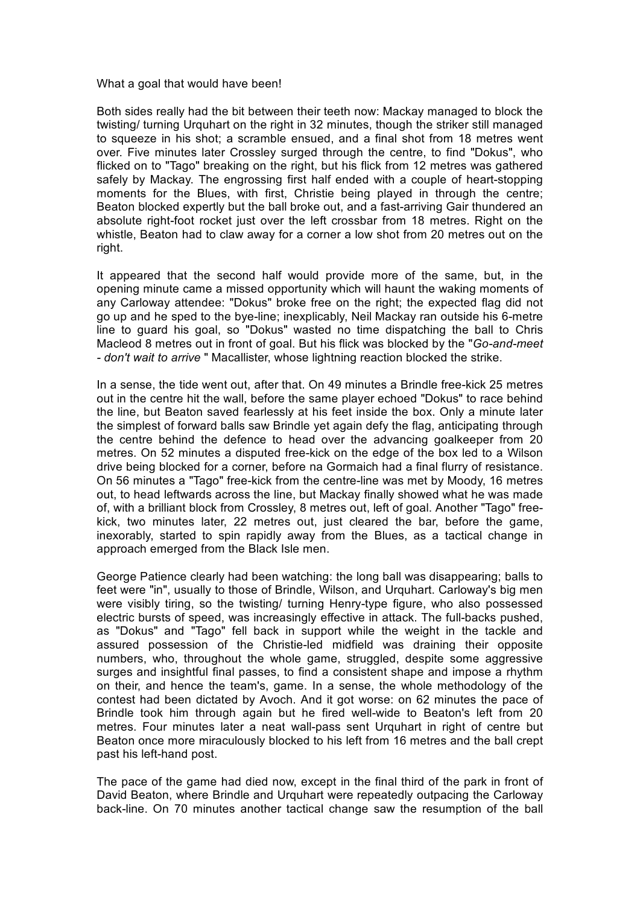What a goal that would have been!

Both sides really had the bit between their teeth now: Mackay managed to block the twisting/ turning Urquhart on the right in 32 minutes, though the striker still managed to squeeze in his shot; a scramble ensued, and a final shot from 18 metres went over. Five minutes later Crossley surged through the centre, to find "Dokus", who flicked on to "Tago" breaking on the right, but his flick from 12 metres was gathered safely by Mackay. The engrossing first half ended with a couple of heart-stopping moments for the Blues, with first, Christie being played in through the centre; Beaton blocked expertly but the ball broke out, and a fast-arriving Gair thundered an absolute right-foot rocket just over the left crossbar from 18 metres. Right on the whistle, Beaton had to claw away for a corner a low shot from 20 metres out on the right.

It appeared that the second half would provide more of the same, but, in the opening minute came a missed opportunity which will haunt the waking moments of any Carloway attendee: "Dokus" broke free on the right; the expected flag did not go up and he sped to the bye-line; inexplicably, Neil Mackay ran outside his 6-metre line to guard his goal, so "Dokus" wasted no time dispatching the ball to Chris Macleod 8 metres out in front of goal. But his flick was blocked by the "*Go-and-meet - don't wait to arrive* " Macallister, whose lightning reaction blocked the strike.

In a sense, the tide went out, after that. On 49 minutes a Brindle free-kick 25 metres out in the centre hit the wall, before the same player echoed "Dokus" to race behind the line, but Beaton saved fearlessly at his feet inside the box. Only a minute later the simplest of forward balls saw Brindle yet again defy the flag, anticipating through the centre behind the defence to head over the advancing goalkeeper from 20 metres. On 52 minutes a disputed free-kick on the edge of the box led to a Wilson drive being blocked for a corner, before na Gormaich had a final flurry of resistance. On 56 minutes a "Tago" free-kick from the centre-line was met by Moody, 16 metres out, to head leftwards across the line, but Mackay finally showed what he was made of, with a brilliant block from Crossley, 8 metres out, left of goal. Another "Tago" freekick, two minutes later, 22 metres out, just cleared the bar, before the game, inexorably, started to spin rapidly away from the Blues, as a tactical change in approach emerged from the Black Isle men.

George Patience clearly had been watching: the long ball was disappearing; balls to feet were "in", usually to those of Brindle, Wilson, and Urquhart. Carloway's big men were visibly tiring, so the twisting/ turning Henry-type figure, who also possessed electric bursts of speed, was increasingly effective in attack. The full-backs pushed, as "Dokus" and "Tago" fell back in support while the weight in the tackle and assured possession of the Christie-led midfield was draining their opposite numbers, who, throughout the whole game, struggled, despite some aggressive surges and insightful final passes, to find a consistent shape and impose a rhythm on their, and hence the team's, game. In a sense, the whole methodology of the contest had been dictated by Avoch. And it got worse: on 62 minutes the pace of Brindle took him through again but he fired well-wide to Beaton's left from 20 metres. Four minutes later a neat wall-pass sent Urquhart in right of centre but Beaton once more miraculously blocked to his left from 16 metres and the ball crept past his left-hand post.

The pace of the game had died now, except in the final third of the park in front of David Beaton, where Brindle and Urquhart were repeatedly outpacing the Carloway back-line. On 70 minutes another tactical change saw the resumption of the ball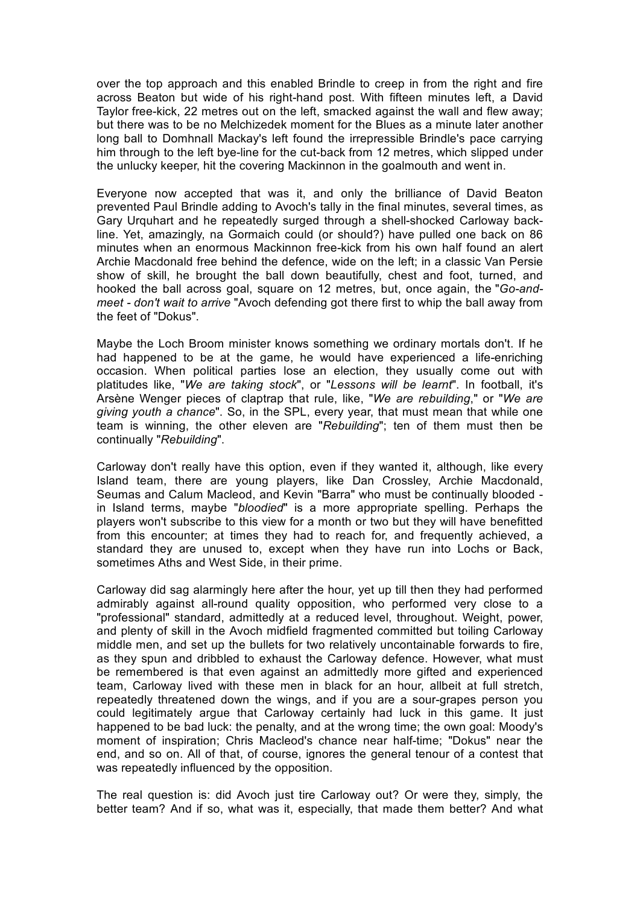over the top approach and this enabled Brindle to creep in from the right and fire across Beaton but wide of his right-hand post. With fifteen minutes left, a David Taylor free-kick, 22 metres out on the left, smacked against the wall and flew away; but there was to be no Melchizedek moment for the Blues as a minute later another long ball to Domhnall Mackay's left found the irrepressible Brindle's pace carrying him through to the left bye-line for the cut-back from 12 metres, which slipped under the unlucky keeper, hit the covering Mackinnon in the goalmouth and went in.

Everyone now accepted that was it, and only the brilliance of David Beaton prevented Paul Brindle adding to Avoch's tally in the final minutes, several times, as Gary Urquhart and he repeatedly surged through a shell-shocked Carloway backline. Yet, amazingly, na Gormaich could (or should?) have pulled one back on 86 minutes when an enormous Mackinnon free-kick from his own half found an alert Archie Macdonald free behind the defence, wide on the left; in a classic Van Persie show of skill, he brought the ball down beautifully, chest and foot, turned, and hooked the ball across goal, square on 12 metres, but, once again, the "*Go-andmeet - don't wait to arrive* "Avoch defending got there first to whip the ball away from the feet of "Dokus".

Maybe the Loch Broom minister knows something we ordinary mortals don't. If he had happened to be at the game, he would have experienced a life-enriching occasion. When political parties lose an election, they usually come out with platitudes like, "*We are taking stock*", or "*Lessons will be learnt*". In football, it's Arsène Wenger pieces of claptrap that rule, like, "*We are rebuilding*," or "*We are giving youth a chance*". So, in the SPL, every year, that must mean that while one team is winning, the other eleven are "*Rebuilding*"; ten of them must then be continually "*Rebuilding*".

Carloway don't really have this option, even if they wanted it, although, like every Island team, there are young players, like Dan Crossley, Archie Macdonald, Seumas and Calum Macleod, and Kevin "Barra" who must be continually blooded in Island terms, maybe "*bloodied*" is a more appropriate spelling. Perhaps the players won't subscribe to this view for a month or two but they will have benefitted from this encounter; at times they had to reach for, and frequently achieved, a standard they are unused to, except when they have run into Lochs or Back, sometimes Aths and West Side, in their prime.

Carloway did sag alarmingly here after the hour, yet up till then they had performed admirably against all-round quality opposition, who performed very close to a "professional" standard, admittedly at a reduced level, throughout. Weight, power, and plenty of skill in the Avoch midfield fragmented committed but toiling Carloway middle men, and set up the bullets for two relatively uncontainable forwards to fire, as they spun and dribbled to exhaust the Carloway defence. However, what must be remembered is that even against an admittedly more gifted and experienced team, Carloway lived with these men in black for an hour, allbeit at full stretch, repeatedly threatened down the wings, and if you are a sour-grapes person you could legitimately argue that Carloway certainly had luck in this game. It just happened to be bad luck: the penalty, and at the wrong time; the own goal: Moody's moment of inspiration; Chris Macleod's chance near half-time; "Dokus" near the end, and so on. All of that, of course, ignores the general tenour of a contest that was repeatedly influenced by the opposition.

The real question is: did Avoch just tire Carloway out? Or were they, simply, the better team? And if so, what was it, especially, that made them better? And what